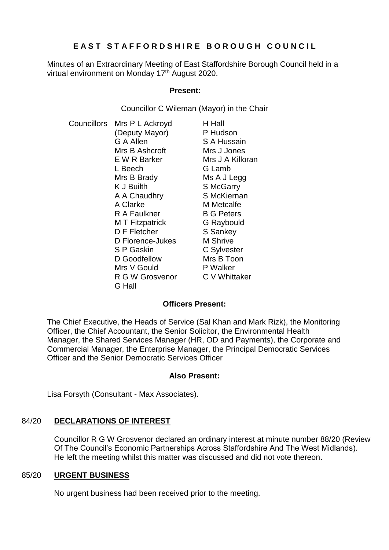# **E A S T S T A F F O R D S H I R E B O R O U G H C O U N C I L**

Minutes of an Extraordinary Meeting of East Staffordshire Borough Council held in a virtual environment on Monday 17<sup>th</sup> August 2020.

### **Present:**

Councillor C Wileman (Mayor) in the Chair

Councillors Mrs P L Ackroyd (Deputy Mayor) G A Allen Mrs B Ashcroft E W R Barker L Beech Mrs B Brady K J Builth A A Chaudhry A Clarke R A Faulkner M T Fitzpatrick D F Fletcher D Florence-Jukes S P Gaskin D Goodfellow Mrs V Gould R G W Grosvenor G Hall H Hall P Hudson S A Hussain Mrs J Jones Mrs J A Killoran G Lamb Ms A J Legg S McGarry S McKiernan M Metcalfe B G Peters G Raybould S Sankey M Shrive C Sylvester Mrs B Toon P Walker C V Whittaker

## **Officers Present:**

The Chief Executive, the Heads of Service (Sal Khan and Mark Rizk), the Monitoring Officer, the Chief Accountant, the Senior Solicitor, the Environmental Health Manager, the Shared Services Manager (HR, OD and Payments), the Corporate and Commercial Manager, the Enterprise Manager, the Principal Democratic Services Officer and the Senior Democratic Services Officer

### **Also Present:**

Lisa Forsyth (Consultant - Max Associates).

## 84/20 **DECLARATIONS OF INTEREST**

Councillor R G W Grosvenor declared an ordinary interest at minute number 88/20 (Review Of The Council's Economic Partnerships Across Staffordshire And The West Midlands). He left the meeting whilst this matter was discussed and did not vote thereon.

### 85/20 **URGENT BUSINESS**

No urgent business had been received prior to the meeting.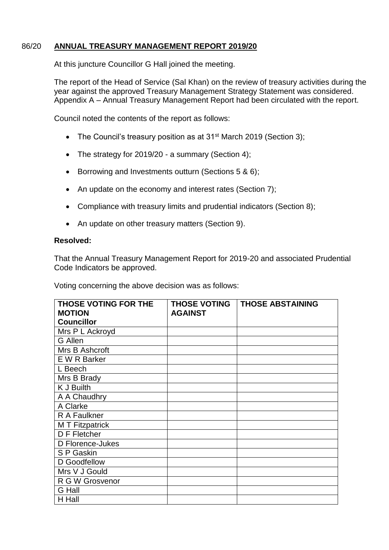### 86/20 **ANNUAL TREASURY MANAGEMENT REPORT 2019/20**

At this juncture Councillor G Hall joined the meeting.

The report of the Head of Service (Sal Khan) on the review of treasury activities during the year against the approved Treasury Management Strategy Statement was considered. Appendix A – Annual Treasury Management Report had been circulated with the report.

Council noted the contents of the report as follows:

- The Council's treasury position as at 31<sup>st</sup> March 2019 (Section 3);
- The strategy for 2019/20 a summary (Section 4);
- Borrowing and Investments outturn (Sections 5 & 6);
- An update on the economy and interest rates (Section 7);
- Compliance with treasury limits and prudential indicators (Section 8);
- An update on other treasury matters (Section 9).

#### **Resolved:**

That the Annual Treasury Management Report for 2019-20 and associated Prudential Code Indicators be approved.

| THOSE VOTING FOR THE | <b>THOSE VOTING</b> | <b>THOSE ABSTAINING</b> |
|----------------------|---------------------|-------------------------|
| <b>MOTION</b>        | <b>AGAINST</b>      |                         |
| <b>Councillor</b>    |                     |                         |
| Mrs P L Ackroyd      |                     |                         |
| <b>G</b> Allen       |                     |                         |
| Mrs B Ashcroft       |                     |                         |
| E W R Barker         |                     |                         |
| L Beech              |                     |                         |
| Mrs B Brady          |                     |                         |
| K J Builth           |                     |                         |
| A A Chaudhry         |                     |                         |
| A Clarke             |                     |                         |
| R A Faulkner         |                     |                         |
| M T Fitzpatrick      |                     |                         |
| D F Fletcher         |                     |                         |
| D Florence-Jukes     |                     |                         |
| S P Gaskin           |                     |                         |
| D Goodfellow         |                     |                         |
| Mrs V J Gould        |                     |                         |
| R G W Grosvenor      |                     |                         |
| <b>G</b> Hall        |                     |                         |
| H Hall               |                     |                         |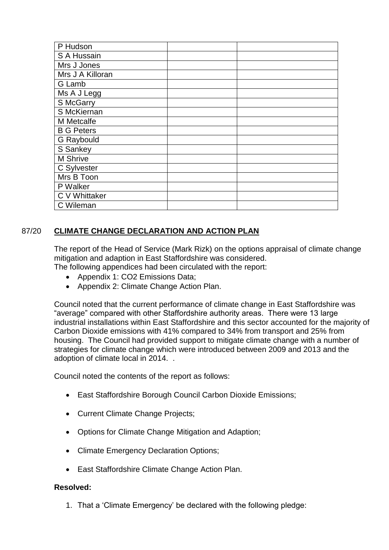| P Hudson          |  |
|-------------------|--|
| S A Hussain       |  |
| Mrs J Jones       |  |
| Mrs J A Killoran  |  |
| G Lamb            |  |
| Ms A J Legg       |  |
| S McGarry         |  |
| S McKiernan       |  |
| M Metcalfe        |  |
| <b>B G Peters</b> |  |
| G Raybould        |  |
| S Sankey          |  |
| M Shrive          |  |
| C Sylvester       |  |
| Mrs B Toon        |  |
| P Walker          |  |
| C V Whittaker     |  |
| C Wileman         |  |

# 87/20 **CLIMATE CHANGE DECLARATION AND ACTION PLAN**

The report of the Head of Service (Mark Rizk) on the options appraisal of climate change mitigation and adaption in East Staffordshire was considered.

The following appendices had been circulated with the report:

- Appendix 1: CO2 Emissions Data;
- Appendix 2: Climate Change Action Plan.

Council noted that the current performance of climate change in East Staffordshire was "average" compared with other Staffordshire authority areas. There were 13 large industrial installations within East Staffordshire and this sector accounted for the majority of Carbon Dioxide emissions with 41% compared to 34% from transport and 25% from housing. The Council had provided support to mitigate climate change with a number of strategies for climate change which were introduced between 2009 and 2013 and the adoption of climate local in 2014. .

Council noted the contents of the report as follows:

- East Staffordshire Borough Council Carbon Dioxide Emissions;
- Current Climate Change Projects;
- Options for Climate Change Mitigation and Adaption;
- Climate Emergency Declaration Options;
- East Staffordshire Climate Change Action Plan.

### **Resolved:**

1. That a 'Climate Emergency' be declared with the following pledge: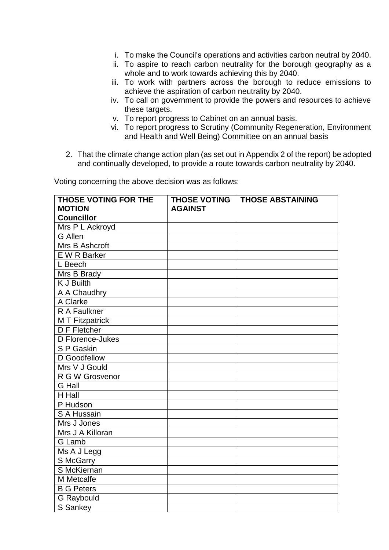- i. To make the Council's operations and activities carbon neutral by 2040.
- ii. To aspire to reach carbon neutrality for the borough geography as a whole and to work towards achieving this by 2040.
- iii. To work with partners across the borough to reduce emissions to achieve the aspiration of carbon neutrality by 2040.
- iv. To call on government to provide the powers and resources to achieve these targets.
- v. To report progress to Cabinet on an annual basis.
- vi. To report progress to Scrutiny (Community Regeneration, Environment and Health and Well Being) Committee on an annual basis
- 2. That the climate change action plan (as set out in Appendix 2 of the report) be adopted and continually developed, to provide a route towards carbon neutrality by 2040.

| THOSE VOTING FOR THE               | <b>THOSE VOTING</b> | <b>THOSE ABSTAINING</b> |
|------------------------------------|---------------------|-------------------------|
| <b>MOTION</b><br><b>Councillor</b> | <b>AGAINST</b>      |                         |
|                                    |                     |                         |
| Mrs P L Ackroyd<br><b>G</b> Allen  |                     |                         |
| Mrs B Ashcroft                     |                     |                         |
| E W R Barker                       |                     |                         |
| L Beech                            |                     |                         |
|                                    |                     |                         |
| Mrs B Brady                        |                     |                         |
| <b>K J Builth</b>                  |                     |                         |
| A A Chaudhry                       |                     |                         |
| A Clarke                           |                     |                         |
| R A Faulkner                       |                     |                         |
| <b>MT Fitzpatrick</b>              |                     |                         |
| D F Fletcher                       |                     |                         |
| D Florence-Jukes                   |                     |                         |
| S P Gaskin                         |                     |                         |
| D Goodfellow                       |                     |                         |
| Mrs V J Gould                      |                     |                         |
| R G W Grosvenor                    |                     |                         |
| <b>G</b> Hall                      |                     |                         |
| H Hall                             |                     |                         |
| P Hudson                           |                     |                         |
| S A Hussain                        |                     |                         |
| Mrs J Jones                        |                     |                         |
| Mrs J A Killoran                   |                     |                         |
| G Lamb                             |                     |                         |
| Ms A J Legg                        |                     |                         |
| S McGarry                          |                     |                         |
| S McKiernan                        |                     |                         |
| M Metcalfe                         |                     |                         |
| <b>B G Peters</b>                  |                     |                         |
| <b>G</b> Raybould                  |                     |                         |
| S Sankey                           |                     |                         |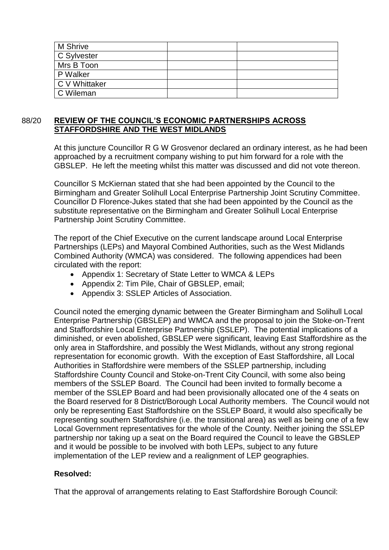| M Shrive      |  |
|---------------|--|
| C Sylvester   |  |
| Mrs B Toon    |  |
| P Walker      |  |
| C V Whittaker |  |
| C Wileman     |  |

### 88/20 **REVIEW OF THE COUNCIL'S ECONOMIC PARTNERSHIPS ACROSS STAFFORDSHIRE AND THE WEST MIDLANDS**

At this juncture Councillor R G W Grosvenor declared an ordinary interest, as he had been approached by a recruitment company wishing to put him forward for a role with the GBSLEP. He left the meeting whilst this matter was discussed and did not vote thereon.

Councillor S McKiernan stated that she had been appointed by the Council to the Birmingham and Greater Solihull Local Enterprise Partnership Joint Scrutiny Committee. Councillor D Florence-Jukes stated that she had been appointed by the Council as the substitute representative on the Birmingham and Greater Solihull Local Enterprise Partnership Joint Scrutiny Committee.

The report of the Chief Executive on the current landscape around Local Enterprise Partnerships (LEPs) and Mayoral Combined Authorities, such as the West Midlands Combined Authority (WMCA) was considered. The following appendices had been circulated with the report:

- Appendix 1: Secretary of State Letter to WMCA & LEPs
- Appendix 2: Tim Pile, Chair of GBSLEP, email;
- Appendix 3: SSLEP Articles of Association.

Council noted the emerging dynamic between the Greater Birmingham and Solihull Local Enterprise Partnership (GBSLEP) and WMCA and the proposal to join the Stoke-on-Trent and Staffordshire Local Enterprise Partnership (SSLEP). The potential implications of a diminished, or even abolished, GBSLEP were significant, leaving East Staffordshire as the only area in Staffordshire, and possibly the West Midlands, without any strong regional representation for economic growth. With the exception of East Staffordshire, all Local Authorities in Staffordshire were members of the SSLEP partnership, including Staffordshire County Council and Stoke-on-Trent City Council, with some also being members of the SSLEP Board. The Council had been invited to formally become a member of the SSLEP Board and had been provisionally allocated one of the 4 seats on the Board reserved for 8 District/Borough Local Authority members. The Council would not only be representing East Staffordshire on the SSLEP Board, it would also specifically be representing southern Staffordshire (i.e. the transitional area) as well as being one of a few Local Government representatives for the whole of the County. Neither joining the SSLEP partnership nor taking up a seat on the Board required the Council to leave the GBSLEP and it would be possible to be involved with both LEPs, subject to any future implementation of the LEP review and a realignment of LEP geographies.

## **Resolved:**

That the approval of arrangements relating to East Staffordshire Borough Council: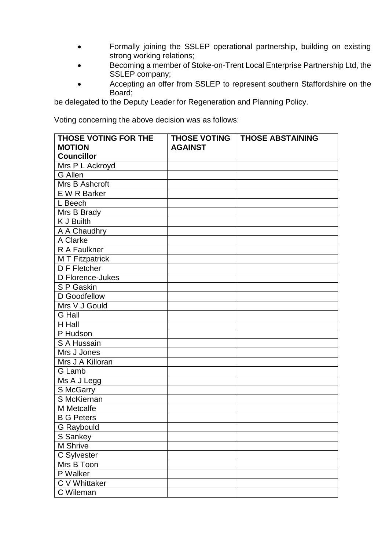- Formally joining the SSLEP operational partnership, building on existing strong working relations;
- Becoming a member of Stoke-on-Trent Local Enterprise Partnership Ltd, the SSLEP company;
- Accepting an offer from SSLEP to represent southern Staffordshire on the Board;

be delegated to the Deputy Leader for Regeneration and Planning Policy.

| <b>THOSE VOTING FOR THE</b> | <b>THOSE VOTING</b> | <b>THOSE ABSTAINING</b> |
|-----------------------------|---------------------|-------------------------|
| <b>MOTION</b>               | <b>AGAINST</b>      |                         |
| <b>Councillor</b>           |                     |                         |
| Mrs P L Ackroyd             |                     |                         |
| <b>G</b> Allen              |                     |                         |
| Mrs B Ashcroft              |                     |                         |
| E W R Barker                |                     |                         |
| L Beech                     |                     |                         |
| Mrs B Brady                 |                     |                         |
| K J Builth                  |                     |                         |
| A A Chaudhry                |                     |                         |
| A Clarke                    |                     |                         |
| R A Faulkner                |                     |                         |
| <b>M T Fitzpatrick</b>      |                     |                         |
| D F Fletcher                |                     |                         |
| D Florence-Jukes            |                     |                         |
| S P Gaskin                  |                     |                         |
| D Goodfellow                |                     |                         |
| Mrs V J Gould               |                     |                         |
| G Hall                      |                     |                         |
| H Hall                      |                     |                         |
| P Hudson                    |                     |                         |
| S A Hussain                 |                     |                         |
| Mrs J Jones                 |                     |                         |
| Mrs J A Killoran            |                     |                         |
| G Lamb                      |                     |                         |
| Ms A J Legg                 |                     |                         |
| S McGarry                   |                     |                         |
| S McKiernan                 |                     |                         |
| M Metcalfe                  |                     |                         |
| <b>B G Peters</b>           |                     |                         |
| G Raybould                  |                     |                         |
| S Sankey                    |                     |                         |
| M Shrive                    |                     |                         |
| C Sylvester                 |                     |                         |
| Mrs B Toon                  |                     |                         |
| P Walker                    |                     |                         |
| C V Whittaker               |                     |                         |
| C Wileman                   |                     |                         |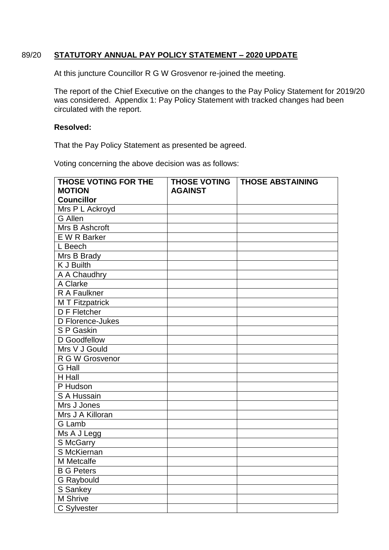## 89/20 **STATUTORY ANNUAL PAY POLICY STATEMENT – 2020 UPDATE**

At this juncture Councillor R G W Grosvenor re-joined the meeting.

The report of the Chief Executive on the changes to the Pay Policy Statement for 2019/20 was considered. Appendix 1: Pay Policy Statement with tracked changes had been circulated with the report.

#### **Resolved:**

That the Pay Policy Statement as presented be agreed.

| THOSE VOTING FOR THE<br><b>MOTION</b> | <b>THOSE VOTING</b> | <b>THOSE ABSTAINING</b> |
|---------------------------------------|---------------------|-------------------------|
|                                       | <b>AGAINST</b>      |                         |
| <b>Councillor</b>                     |                     |                         |
| Mrs P L Ackroyd                       |                     |                         |
| <b>G</b> Allen                        |                     |                         |
| Mrs B Ashcroft                        |                     |                         |
| E W R Barker                          |                     |                         |
| L Beech                               |                     |                         |
| Mrs B Brady                           |                     |                         |
| <b>K J Builth</b>                     |                     |                         |
| A A Chaudhry                          |                     |                         |
| A Clarke                              |                     |                         |
| R A Faulkner                          |                     |                         |
| <b>MT Fitzpatrick</b>                 |                     |                         |
| D F Fletcher                          |                     |                         |
| D Florence-Jukes                      |                     |                         |
| S P Gaskin                            |                     |                         |
| D Goodfellow                          |                     |                         |
| Mrs V J Gould                         |                     |                         |
| R G W Grosvenor                       |                     |                         |
| G Hall                                |                     |                         |
| $\overline{H}$ Hall                   |                     |                         |
| P Hudson                              |                     |                         |
| S A Hussain                           |                     |                         |
| Mrs J Jones                           |                     |                         |
| Mrs J A Killoran                      |                     |                         |
| G Lamb                                |                     |                         |
| Ms A J Legg                           |                     |                         |
| S McGarry                             |                     |                         |
| S McKiernan                           |                     |                         |
| M Metcalfe                            |                     |                         |
| <b>B G Peters</b>                     |                     |                         |
| <b>G</b> Raybould                     |                     |                         |
| S Sankey                              |                     |                         |
| M Shrive                              |                     |                         |
| C Sylvester                           |                     |                         |